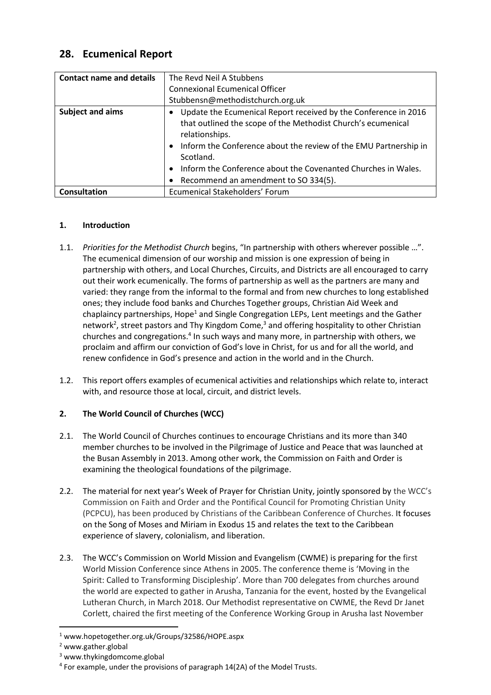# **28. Ecumenical Report**

| <b>Contact name and details</b> | The Revd Neil A Stubbens                                         |
|---------------------------------|------------------------------------------------------------------|
|                                 | <b>Connexional Ecumenical Officer</b>                            |
|                                 | Stubbensn@methodistchurch.org.uk                                 |
| <b>Subject and aims</b>         | Update the Ecumenical Report received by the Conference in 2016  |
|                                 | that outlined the scope of the Methodist Church's ecumenical     |
|                                 | relationships.                                                   |
|                                 | Inform the Conference about the review of the EMU Partnership in |
|                                 | Scotland.                                                        |
|                                 | Inform the Conference about the Covenanted Churches in Wales.    |
|                                 | Recommend an amendment to SO 334(5).                             |
| Consultation                    | Ecumenical Stakeholders' Forum                                   |

#### **1. Introduction**

- 1.1. *Priorities for the Methodist Church* begins, "In partnership with others wherever possible …". The ecumenical dimension of our worship and mission is one expression of being in partnership with others, and Local Churches, Circuits, and Districts are all encouraged to carry out their work ecumenically. The forms of partnership as well as the partners are many and varied: they range from the informal to the formal and from new churches to long established ones; they include food banks and Churches Together groups, Christian Aid Week and chaplaincy partnerships, Hope<sup>1</sup> and Single Congregation LEPs, Lent meetings and the Gather network<sup>2</sup>, street pastors and Thy Kingdom Come,<sup>3</sup> and offering hospitality to other Christian churches and congregations.<sup>4</sup> In such ways and many more, in partnership with others, we proclaim and affirm our conviction of God's love in Christ, for us and for all the world, and renew confidence in God's presence and action in the world and in the Church.
- 1.2. This report offers examples of ecumenical activities and relationships which relate to, interact with, and resource those at local, circuit, and district levels.

## **2. The World Council of Churches (WCC)**

- 2.1. The World Council of Churches continues to encourage Christians and its more than 340 member churches to be involved in the Pilgrimage of Justice and Peace that was launched at the Busan Assembly in 2013. Among other work, the Commission on Faith and Order is examining the theological foundations of the pilgrimage.
- 2.2. The material for next year's Week of Prayer for Christian Unity, jointly sponsored by the WCC's Commission on Faith and Order and the Pontifical Council for Promoting Christian Unity (PCPCU), has been produced by Christians of the Caribbean Conference of Churches. It focuses on the Song of Moses and Miriam in Exodus 15 and relates the text to the Caribbean experience of slavery, colonialism, and liberation.
- 2.3. The WCC's Commission on World Mission and Evangelism (CWME) is preparing for the first World Mission Conference since Athens in 2005. The conference theme is 'Moving in the Spirit: Called to Transforming Discipleship'. More than 700 delegates from churches around the world are expected to gather in Arusha, Tanzania for the event, hosted by the Evangelical Lutheran Church, in March 2018. Our Methodist representative on CWME, the Revd Dr Janet Corlett, chaired the first meeting of the Conference Working Group in Arusha last November

**.** 

<sup>1</sup> [www.hopetogether.org.uk/Groups/32586/HOPE.aspx](http://www.hopetogether.org.uk/Groups/32586/HOPE.aspx)

<sup>2</sup> [www.gather.global](http://www.gather.global/)

<sup>3</sup> www.thykingdomcome.global

<sup>&</sup>lt;sup>4</sup> For example, under the provisions of paragraph 14(2A) of the Model Trusts.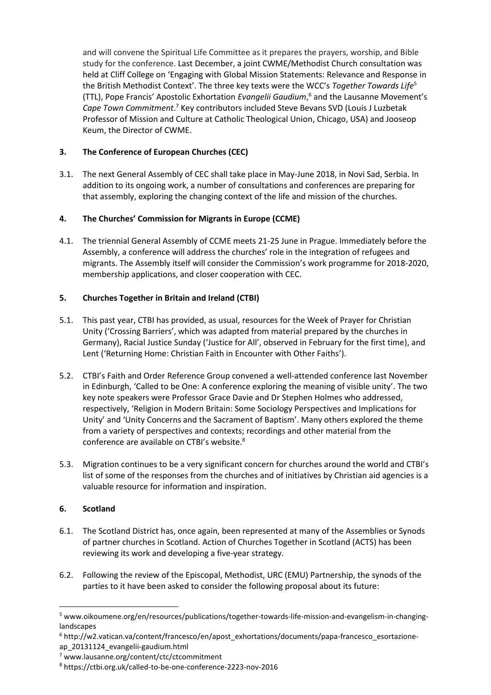and will convene the Spiritual Life Committee as it prepares the prayers, worship, and Bible study for the conference. Last December, a joint CWME/Methodist Church consultation was held at Cliff College on 'Engaging with Global Mission Statements: Relevance and Response in the British Methodist Context'. The three key texts were the WCC's *Together Towards Life*<sup>5</sup> (TTL), Pope Francis' Apostolic Exhortation *Evangelii Gaudium*, <sup>6</sup> and the Lausanne Movement's Cape Town Commitment.<sup>7</sup> Key contributors included Steve Bevans SVD (Louis J Luzbetak Professor of Mission and Culture at Catholic Theological Union, Chicago, USA) and Jooseop Keum, the Director of CWME.

### **3. The Conference of European Churches (CEC)**

3.1. The next General Assembly of CEC shall take place in May-June 2018, in Novi Sad, Serbia. In addition to its ongoing work, a number of consultations and conferences are preparing for that assembly, exploring the changing context of the life and mission of the churches.

#### **4. The Churches' Commission for Migrants in Europe (CCME)**

4.1. The triennial General Assembly of CCME meets 21-25 June in Prague. Immediately before the Assembly, a conference will address the churches' role in the integration of refugees and migrants. The Assembly itself will consider the Commission's work programme for 2018-2020, membership applications, and closer cooperation with CEC.

#### **5. Churches Together in Britain and Ireland (CTBI)**

- 5.1. This past year, CTBI has provided, as usual, resources for the Week of Prayer for Christian Unity ('Crossing Barriers', which was adapted from material prepared by the churches in Germany), Racial Justice Sunday ('Justice for All', observed in February for the first time), and Lent ('Returning Home: Christian Faith in Encounter with Other Faiths').
- 5.2. CTBI's Faith and Order Reference Group convened a well-attended conference last November in Edinburgh, 'Called to be One: A conference exploring the meaning of visible unity'. The two key note speakers were Professor Grace Davie and Dr Stephen Holmes who addressed, respectively, 'Religion in Modern Britain: Some Sociology Perspectives and Implications for Unity' and 'Unity Concerns and the Sacrament of Baptism'. Many others explored the theme from a variety of perspectives and contexts; recordings and other material from the conference are available on CTBI's website.<sup>8</sup>
- 5.3. Migration continues to be a very significant concern for churches around the world and CTBI's list of some of the responses from the churches and of initiatives by Christian aid agencies is a valuable resource for information and inspiration.

#### **6. Scotland**

**.** 

- 6.1. The Scotland District has, once again, been represented at many of the Assemblies or Synods of partner churches in Scotland. Action of Churches Together in Scotland (ACTS) has been reviewing its work and developing a five-year strategy.
- 6.2. Following the review of the Episcopal, Methodist, URC (EMU) Partnership, the synods of the parties to it have been asked to consider the following proposal about its future:

<sup>5</sup> [www.oikoumene.org/en/resources/publications/together-towards-life-mission-and-evangelism-in-changing](www.oikoumene.org/en/resources/publications/together-towards-life-mission-and-evangelism-in-changing-landscapes)[landscapes](www.oikoumene.org/en/resources/publications/together-towards-life-mission-and-evangelism-in-changing-landscapes)

<sup>6</sup> [http://w2.vatican.va/content/francesco/en/apost\\_exhortations/documents/papa-francesco\\_esortazione](http://w2.vatican.va/content/francesco/en/apost_exhortations/documents/papa-francesco_esortazione-ap_20131124_evangelii-gaudium.html)[ap\\_20131124\\_evangelii-gaudium.html](http://w2.vatican.va/content/francesco/en/apost_exhortations/documents/papa-francesco_esortazione-ap_20131124_evangelii-gaudium.html)

<sup>7</sup> <www.lausanne.org/content/ctc/ctcommitment>

<sup>8</sup> <https://ctbi.org.uk/called-to-be-one-conference-2223-nov-2016>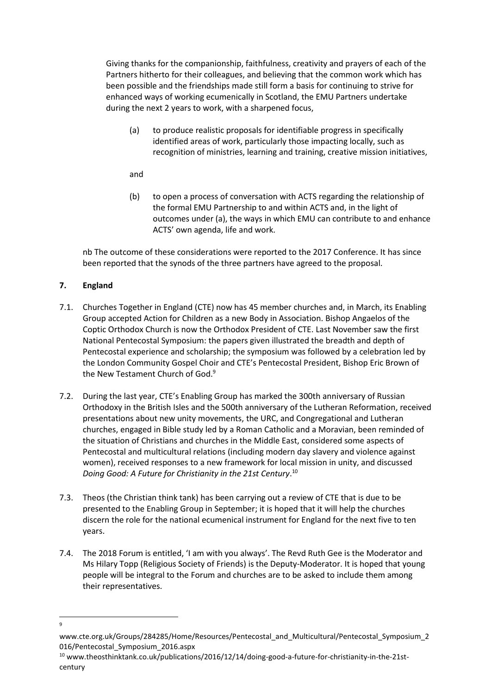Giving thanks for the companionship, faithfulness, creativity and prayers of each of the Partners hitherto for their colleagues, and believing that the common work which has been possible and the friendships made still form a basis for continuing to strive for enhanced ways of working ecumenically in Scotland, the EMU Partners undertake during the next 2 years to work, with a sharpened focus,

(a) to produce realistic proposals for identifiable progress in specifically identified areas of work, particularly those impacting locally, such as recognition of ministries, learning and training, creative mission initiatives,

and

(b) to open a process of conversation with ACTS regarding the relationship of the formal EMU Partnership to and within ACTS and, in the light of outcomes under (a), the ways in which EMU can contribute to and enhance ACTS' own agenda, life and work.

nb The outcome of these considerations were reported to the 2017 Conference. It has since been reported that the synods of the three partners have agreed to the proposal.

## **7. England**

- 7.1. Churches Together in England (CTE) now has 45 member churches and, in March, its Enabling Group accepted Action for Children as a new Body in Association. Bishop Angaelos of the Coptic Orthodox Church is now the Orthodox President of CTE. Last November saw the first National Pentecostal Symposium: the papers given illustrated the breadth and depth of Pentecostal experience and scholarship; the symposium was followed by a celebration led by the London Community Gospel Choir and CTE's Pentecostal President, Bishop Eric Brown of the New Testament Church of God.<sup>9</sup>
- 7.2. During the last year, CTE's Enabling Group has marked the 300th anniversary of Russian Orthodoxy in the British Isles and the 500th anniversary of the Lutheran Reformation, received presentations about new unity movements, the URC, and Congregational and Lutheran churches, engaged in Bible study led by a Roman Catholic and a Moravian, been reminded of the situation of Christians and churches in the Middle East, considered some aspects of Pentecostal and multicultural relations (including modern day slavery and violence against women), received responses to a new framework for local mission in unity, and discussed *Doing Good: A Future for Christianity in the 21st Century*. 10
- 7.3. Theos (the Christian think tank) has been carrying out a review of CTE that is due to be presented to the Enabling Group in September; it is hoped that it will help the churches discern the role for the national ecumenical instrument for England for the next five to ten years.
- 7.4. The 2018 Forum is entitled, 'I am with you always'. The Revd Ruth Gee is the Moderator and Ms Hilary Topp (Religious Society of Friends) is the Deputy-Moderator. It is hoped that young people will be integral to the Forum and churches are to be asked to include them among their representatives.

<sup>1</sup>  $\mathsf{q}$ 

[www.cte.org.uk/Groups/284285/Home/Resources/Pentecostal\\_and\\_Multicultural/Pentecostal\\_Symposium\\_2](www.cte.org.uk/Groups/284285/Home/Resources/Pentecostal_and_Multicultural/Pentecostal_Symposium_2016/Pentecostal_Symposium_2016.aspx) [016/Pentecostal\\_Symposium\\_2016.aspx](www.cte.org.uk/Groups/284285/Home/Resources/Pentecostal_and_Multicultural/Pentecostal_Symposium_2016/Pentecostal_Symposium_2016.aspx)

<sup>10</sup> [www.theosthinktank.co.uk/publications/2016/12/14/doing-good-a-future-for-christianity-in-the-21st](www.theosthinktank.co.uk/publications/2016/12/14/doing-good-a-future-for-christianity-in-the-21st-century)[century](www.theosthinktank.co.uk/publications/2016/12/14/doing-good-a-future-for-christianity-in-the-21st-century)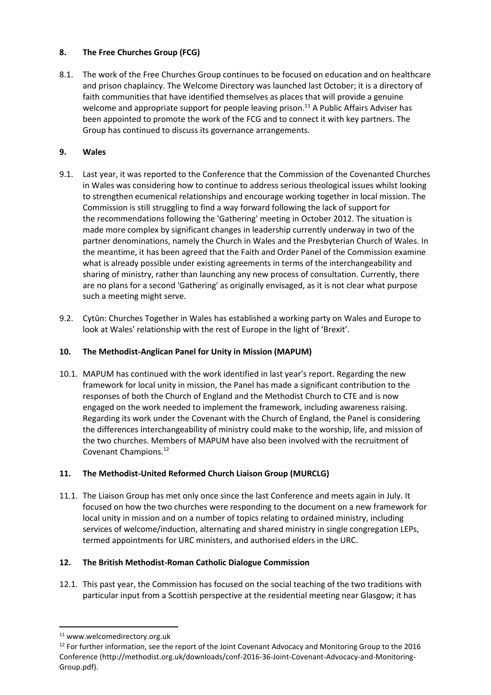#### **8. The Free Churches Group (FCG)**

8.1. The work of the Free Churches Group continues to be focused on education and on healthcare and prison chaplaincy. The Welcome Directory was launched last October; it is a directory of faith communities that have identified themselves as places that will provide a genuine welcome and appropriate support for people leaving prison.<sup>11</sup> A Public Affairs Adviser has been appointed to promote the work of the FCG and to connect it with key partners. The Group has continued to discuss its governance arrangements.

## **9. Wales**

- 9.1. Last year, it was reported to the Conference that the Commission of the Covenanted Churches in Wales was considering how to continue to address serious theological issues whilst looking to strengthen ecumenical relationships and encourage working together in local mission. The Commission is still struggling to find a way forward following the lack of support for the recommendations following the 'Gathering' meeting in October 2012. The situation is made more complex by significant changes in leadership currently underway in two of the partner denominations, namely the Church in Wales and the Presbyterian Church of Wales. In the meantime, it has been agreed that the Faith and Order Panel of the Commission examine what is already possible under existing agreements in terms of the interchangeability and sharing of ministry, rather than launching any new process of consultation. Currently, there are no plans for a second 'Gathering' as originally envisaged, as it is not clear what purpose such a meeting might serve.
- 9.2. Cytûn: Churches Together in Wales has established a working party on Wales and Europe to look at Wales' relationship with the rest of Europe in the light of 'Brexit'.

### **10. The Methodist-Anglican Panel for Unity in Mission (MAPUM)**

10.1. MAPUM has continued with the work identified in last year's report. Regarding the new framework for local unity in mission, the Panel has made a significant contribution to the responses of both the Church of England and the Methodist Church to CTE and is now engaged on the work needed to implement the framework, including awareness raising. Regarding its work under the Covenant with the Church of England, the Panel is considering the differences interchangeability of ministry could make to the worship, life, and mission of the two churches. Members of MAPUM have also been involved with the recruitment of Covenant Champions.<sup>12</sup>

## **11. The Methodist-United Reformed Church Liaison Group (MURCLG)**

11.1. The Liaison Group has met only once since the last Conference and meets again in July. It focused on how the two churches were responding to the document on a new framework for local unity in mission and on a number of topics relating to ordained ministry, including services of welcome/induction, alternating and shared ministry in single congregation LEPs, termed appointments for URC ministers, and authorised elders in the URC.

## **12. The British Methodist-Roman Catholic Dialogue Commission**

12.1. This past year, the Commission has focused on the social teaching of the two traditions with particular input from a Scottish perspective at the residential meeting near Glasgow; it has

**.** 

<sup>11</sup> www.welcomedirectory.org.uk

 $12$  For further information, see the report of the Joint Covenant Advocacy and Monitoring Group to the 2016 Conference [\(http://methodist.org.uk/downloads/conf-2016-36-Joint-Covenant-Advocacy-and-Monitoring-](http://methodist.org.uk/downloads/conf-2016-36-Joint-Covenant-Advocacy-and-Monitoring-Group.pdf)[Group.pdf\)](http://methodist.org.uk/downloads/conf-2016-36-Joint-Covenant-Advocacy-and-Monitoring-Group.pdf).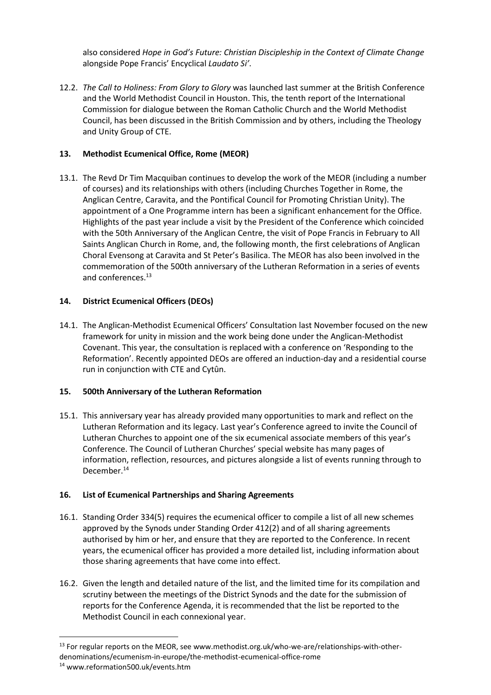also considered *Hope in God's Future: Christian Discipleship in the Context of Climate Change*  alongside Pope Francis' Encyclical *Laudato Si'*.

12.2. *The Call to Holiness: From Glory to Glory* was launched last summer at the British Conference and the World Methodist Council in Houston. This, the tenth report of the International Commission for dialogue between the Roman Catholic Church and the World Methodist Council, has been discussed in the British Commission and by others, including the Theology and Unity Group of CTE.

#### **13. Methodist Ecumenical Office, Rome (MEOR)**

13.1. The Revd Dr Tim Macquiban continues to develop the work of the MEOR (including a number of courses) and its relationships with others (including Churches Together in Rome, the Anglican Centre, Caravita, and the Pontifical Council for Promoting Christian Unity). The appointment of a One Programme intern has been a significant enhancement for the Office. Highlights of the past year include a visit by the President of the Conference which coincided with the 50th Anniversary of the Anglican Centre, the visit of Pope Francis in February to All Saints Anglican Church in Rome, and, the following month, the first celebrations of Anglican Choral Evensong at Caravita and St Peter's Basilica. The MEOR has also been involved in the commemoration of the 500th anniversary of the Lutheran Reformation in a series of events and conferences.<sup>13</sup>

#### **14. District Ecumenical Officers (DEOs)**

14.1. The Anglican-Methodist Ecumenical Officers' Consultation last November focused on the new framework for unity in mission and the work being done under the Anglican-Methodist Covenant. This year, the consultation is replaced with a conference on 'Responding to the Reformation'. Recently appointed DEOs are offered an induction-day and a residential course run in conjunction with CTE and Cytûn.

#### **15. 500th Anniversary of the Lutheran Reformation**

15.1. This anniversary year has already provided many opportunities to mark and reflect on the Lutheran Reformation and its legacy. Last year's Conference agreed to invite the Council of Lutheran Churches to appoint one of the six ecumenical associate members of this year's Conference. The Council of Lutheran Churches' special website has many pages of information, reflection, resources, and pictures alongside a list of events running through to December.<sup>14</sup>

#### **16. List of Ecumenical Partnerships and Sharing Agreements**

- 16.1. Standing Order 334(5) requires the ecumenical officer to compile a list of all new schemes approved by the Synods under Standing Order 412(2) and of all sharing agreements authorised by him or her, and ensure that they are reported to the Conference. In recent years, the ecumenical officer has provided a more detailed list, including information about those sharing agreements that have come into effect.
- 16.2. Given the length and detailed nature of the list, and the limited time for its compilation and scrutiny between the meetings of the District Synods and the date for the submission of reports for the Conference Agenda, it is recommended that the list be reported to the Methodist Council in each connexional year.

1

<sup>&</sup>lt;sup>13</sup> For regular reports on the MEOR, see [www.methodist.org.uk/who-we-are/relationships-with-other](www.methodist.org.uk/who-we-are/relationships-with-other-denominations/ecumenism-in-europe/the-methodist-ecumenical-office-rome)[denominations/ecumenism-in-europe/the-methodist-ecumenical-office-rome](www.methodist.org.uk/who-we-are/relationships-with-other-denominations/ecumenism-in-europe/the-methodist-ecumenical-office-rome)

<sup>14</sup> [www.reformation500.uk/events.htm](http://www.reformation500.uk/events.htm)